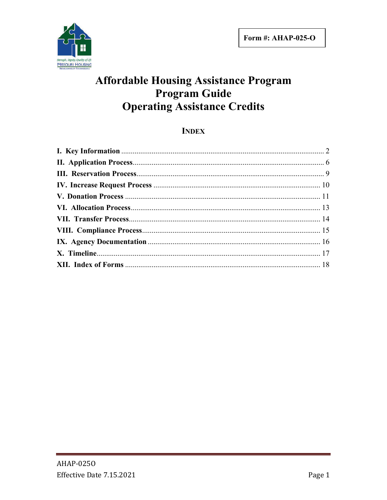

# **Affordable Housing Assistance Program Program Guide Operating Assistance Credits**

# **INDEX**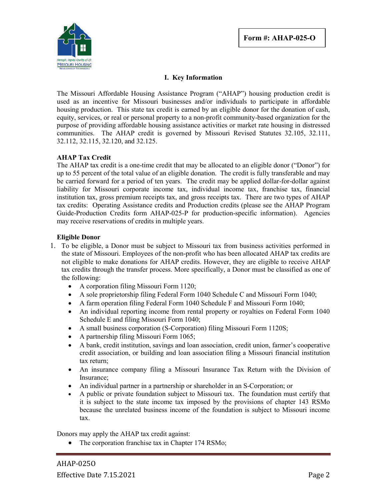

### **I. Key Information**

The Missouri Affordable Housing Assistance Program ("AHAP") housing production credit is used as an incentive for Missouri businesses and/or individuals to participate in affordable housing production. This state tax credit is earned by an eligible donor for the donation of cash, equity, services, or real or personal property to a non-profit community-based organization for the purpose of providing affordable housing assistance activities or market rate housing in distressed communities. The AHAP credit is governed by Missouri Revised Statutes 32.105, 32.111, 32.112, 32.115, 32.120, and 32.125.

#### **AHAP Tax Credit**

The AHAP tax credit is a one-time credit that may be allocated to an eligible donor ("Donor") for up to 55 percent of the total value of an eligible donation. The credit is fully transferable and may be carried forward for a period of ten years. The credit may be applied dollar-for-dollar against liability for Missouri corporate income tax, individual income tax, franchise tax, financial institution tax, gross premium receipts tax, and gross receipts tax. There are two types of AHAP tax credits: Operating Assistance credits and Production credits (please see the AHAP Program Guide-Production Credits form AHAP-025-P for production-specific information). Agencies may receive reservations of credits in multiple years.

#### **Eligible Donor**

- 1. To be eligible, a Donor must be subject to Missouri tax from business activities performed in the state of Missouri. Employees of the non-profit who has been allocated AHAP tax credits are not eligible to make donations for AHAP credits. However, they are eligible to receive AHAP tax credits through the transfer process. More specifically, a Donor must be classified as one of the following:
	- A corporation filing Missouri Form 1120;
	- A sole proprietorship filing Federal Form 1040 Schedule C and Missouri Form 1040;
	- A farm operation filing Federal Form 1040 Schedule F and Missouri Form 1040;
	- An individual reporting income from rental property or royalties on Federal Form 1040 Schedule E and filing Missouri Form 1040;
	- A small business corporation (S-Corporation) filing Missouri Form 1120S;
	- A partnership filing Missouri Form 1065;
	- A bank, credit institution, savings and loan association, credit union, farmer's cooperative credit association, or building and loan association filing a Missouri financial institution tax return;
	- An insurance company filing a Missouri Insurance Tax Return with the Division of Insurance;
	- An individual partner in a partnership or shareholder in an S-Corporation; or
	- A public or private foundation subject to Missouri tax. The foundation must certify that it is subject to the state income tax imposed by the provisions of chapter 143 RSMo because the unrelated business income of the foundation is subject to Missouri income tax.

Donors may apply the AHAP tax credit against:

• The corporation franchise tax in Chapter 174 RSMo;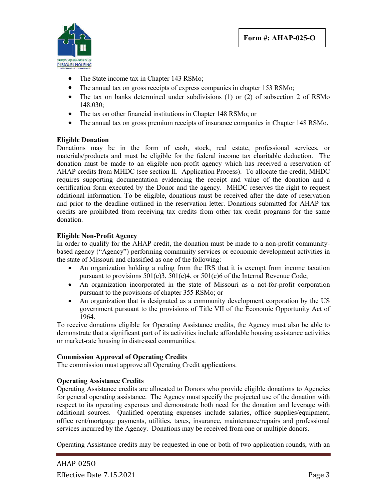

- The State income tax in Chapter 143 RSMo;
- The annual tax on gross receipts of express companies in chapter 153 RSMo;
- The tax on banks determined under subdivisions (1) or (2) of subsection 2 of RSMo 148.030;
- The tax on other financial institutions in Chapter 148 RSMo; or
- The annual tax on gross premium receipts of insurance companies in Chapter 148 RSMo.

### **Eligible Donation**

Donations may be in the form of cash, stock, real estate, professional services, or materials/products and must be eligible for the federal income tax charitable deduction. The donation must be made to an eligible non-profit agency which has received a reservation of AHAP credits from MHDC (see section II. Application Process). To allocate the credit, MHDC requires supporting documentation evidencing the receipt and value of the donation and a certification form executed by the Donor and the agency. MHDC reserves the right to request additional information. To be eligible, donations must be received after the date of reservation and prior to the deadline outlined in the reservation letter. Donations submitted for AHAP tax credits are prohibited from receiving tax credits from other tax credit programs for the same donation.

#### **Eligible Non-Profit Agency**

In order to qualify for the AHAP credit, the donation must be made to a non-profit communitybased agency ("Agency") performing community services or economic development activities in the state of Missouri and classified as one of the following:

- An organization holding a ruling from the IRS that it is exempt from income taxation pursuant to provisions 501(c)3, 501(c)4, or 501(c)6 of the Internal Revenue Code;
- An organization incorporated in the state of Missouri as a not-for-profit corporation pursuant to the provisions of chapter 355 RSMo; or
- An organization that is designated as a community development corporation by the US government pursuant to the provisions of Title VII of the Economic Opportunity Act of 1964.

To receive donations eligible for Operating Assistance credits, the Agency must also be able to demonstrate that a significant part of its activities include affordable housing assistance activities or market-rate housing in distressed communities.

### **Commission Approval of Operating Credits**

The commission must approve all Operating Credit applications.

### **Operating Assistance Credits**

Operating Assistance credits are allocated to Donors who provide eligible donations to Agencies for general operating assistance. The Agency must specify the projected use of the donation with respect to its operating expenses and demonstrate both need for the donation and leverage with additional sources. Qualified operating expenses include salaries, office supplies/equipment, office rent/mortgage payments, utilities, taxes, insurance, maintenance/repairs and professional services incurred by the Agency. Donations may be received from one or multiple donors.

Operating Assistance credits may be requested in one or both of two application rounds, with an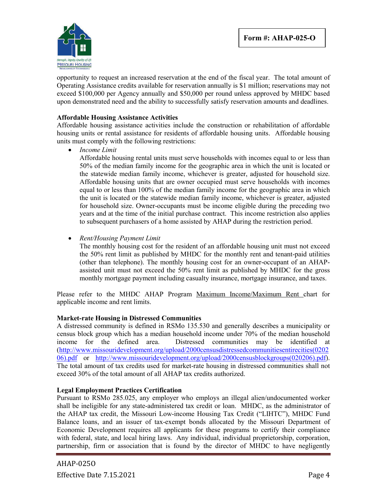

opportunity to request an increased reservation at the end of the fiscal year. The total amount of Operating Assistance credits available for reservation annually is \$1 million; reservations may not exceed \$100,000 per Agency annually and \$50,000 per round unless approved by MHDC based upon demonstrated need and the ability to successfully satisfy reservation amounts and deadlines.

#### **Affordable Housing Assistance Activities**

Affordable housing assistance activities include the construction or rehabilitation of affordable housing units or rental assistance for residents of affordable housing units. Affordable housing units must comply with the following restrictions:

*Income Limit*

Affordable housing rental units must serve households with incomes equal to or less than 50% of the median family income for the geographic area in which the unit is located or the statewide median family income, whichever is greater, adjusted for household size. Affordable housing units that are owner occupied must serve households with incomes equal to or less than 100% of the median family income for the geographic area in which the unit is located or the statewide median family income, whichever is greater, adjusted for household size. Owner-occupants must be income eligible during the preceding two years and at the time of the initial purchase contract. This income restriction also applies to subsequent purchasers of a home assisted by AHAP during the restriction period.

*Rent/Housing Payment Limit*

The monthly housing cost for the resident of an affordable housing unit must not exceed the 50% rent limit as published by MHDC for the monthly rent and tenant-paid utilities (other than telephone). The monthly housing cost for an owner-occupant of an AHAPassisted unit must not exceed the 50% rent limit as published by MHDC for the gross monthly mortgage payment including casualty insurance, mortgage insurance, and taxes.

Please refer to the MHDC AHAP Program Maximum Income/Maximum Rent chart for applicable income and rent limits.

#### **Market-rate Housing in Distressed Communities**

A distressed community is defined in RSMo 135.530 and generally describes a municipality or census block group which has a median household income under 70% of the median household income for the defined area. Distressed communities may be identified at (http://www.missouridevelopment.org/upload/2000censusdistressedcommunitiesentirecities(0202 06).pdf or http://www.missouridevelopment.org/upload/2000censusblockgroups(020206).pdf). The total amount of tax credits used for market-rate housing in distressed communities shall not exceed 30% of the total amount of all AHAP tax credits authorized.

#### **Legal Employment Practices Certification**

Pursuant to RSMo 285.025, any employer who employs an illegal alien/undocumented worker shall be ineligible for any state-administered tax credit or loan. MHDC, as the administrator of the AHAP tax credit, the Missouri Low-income Housing Tax Credit ("LIHTC"), MHDC Fund Balance loans, and an issuer of tax-exempt bonds allocated by the Missouri Department of Economic Development requires all applicants for these programs to certify their compliance with federal, state, and local hiring laws. Any individual, individual proprietorship, corporation, partnership, firm or association that is found by the director of MHDC to have negligently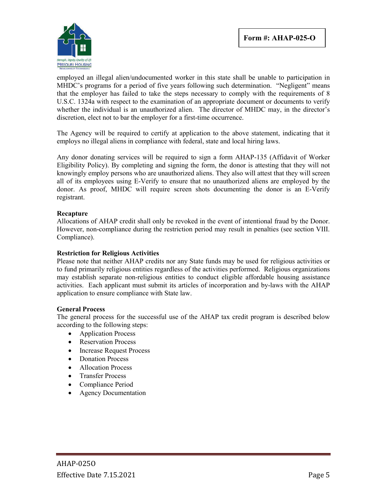

employed an illegal alien/undocumented worker in this state shall be unable to participation in MHDC's programs for a period of five years following such determination. "Negligent" means that the employer has failed to take the steps necessary to comply with the requirements of 8 U.S.C. 1324a with respect to the examination of an appropriate document or documents to verify whether the individual is an unauthorized alien. The director of MHDC may, in the director's discretion, elect not to bar the employer for a first-time occurrence.

The Agency will be required to certify at application to the above statement, indicating that it employs no illegal aliens in compliance with federal, state and local hiring laws.

Any donor donating services will be required to sign a form AHAP-135 (Affidavit of Worker Eligibility Policy). By completing and signing the form, the donor is attesting that they will not knowingly employ persons who are unauthorized aliens. They also will attest that they will screen all of its employees using E-Verify to ensure that no unauthorized aliens are employed by the donor. As proof, MHDC will require screen shots documenting the donor is an E-Verify registrant.

#### **Recapture**

Allocations of AHAP credit shall only be revoked in the event of intentional fraud by the Donor. However, non-compliance during the restriction period may result in penalties (see section VIII. Compliance).

#### **Restriction for Religious Activities**

Please note that neither AHAP credits nor any State funds may be used for religious activities or to fund primarily religious entities regardless of the activities performed. Religious organizations may establish separate non-religious entities to conduct eligible affordable housing assistance activities. Each applicant must submit its articles of incorporation and by-laws with the AHAP application to ensure compliance with State law.

#### **General Process**

The general process for the successful use of the AHAP tax credit program is described below according to the following steps:

- Application Process
- Reservation Process
- Increase Request Process
- Donation Process
- Allocation Process
- Transfer Process
- Compliance Period
- Agency Documentation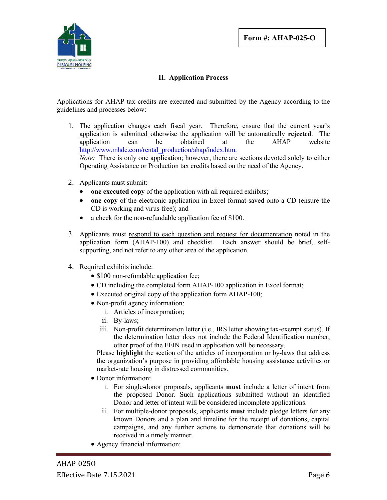

### **II. Application Process**

Applications for AHAP tax credits are executed and submitted by the Agency according to the guidelines and processes below:

- 1. The application changes each fiscal year. Therefore, ensure that the current year's application is submitted otherwise the application will be automatically **rejected**. The application can be obtained at the AHAP website http://www.mhdc.com/rental\_production/ahap/index.htm. *Note:* There is only one application; however, there are sections devoted solely to either Operating Assistance or Production tax credits based on the need of the Agency.
- 2. Applicants must submit:
	- one **executed copy** of the application with all required exhibits;
	- **one copy** of the electronic application in Excel format saved onto a CD (ensure the CD is working and virus-free); and
	- a check for the non-refundable application fee of \$100.
- 3. Applicants must respond to each question and request for documentation noted in the application form (AHAP-100) and checklist. Each answer should be brief, selfsupporting, and not refer to any other area of the application.
- 4. Required exhibits include:
	- \$100 non-refundable application fee;
	- CD including the completed form AHAP-100 application in Excel format;
	- Executed original copy of the application form AHAP-100;
	- Non-profit agency information:
		- i. Articles of incorporation;
		- ii. By-laws;
		- iii. Non-profit determination letter (i.e., IRS letter showing tax-exempt status). If the determination letter does not include the Federal Identification number, other proof of the FEIN used in application will be necessary.

Please **highlight** the section of the articles of incorporation or by-laws that address the organization's purpose in providing affordable housing assistance activities or market-rate housing in distressed communities.

- Donor information:
	- i. For single-donor proposals, applicants **must** include a letter of intent from the proposed Donor. Such applications submitted without an identified Donor and letter of intent will be considered incomplete applications.
	- ii. For multiple-donor proposals, applicants **must** include pledge letters for any known Donors and a plan and timeline for the receipt of donations, capital campaigns, and any further actions to demonstrate that donations will be received in a timely manner.
- Agency financial information: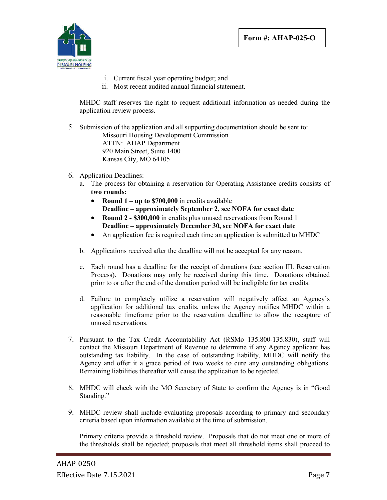

- i. Current fiscal year operating budget; and
- ii. Most recent audited annual financial statement.

MHDC staff reserves the right to request additional information as needed during the application review process.

- 5. Submission of the application and all supporting documentation should be sent to: Missouri Housing Development Commission ATTN: AHAP Department 920 Main Street, Suite 1400 Kansas City, MO 64105
- 6. Application Deadlines:
	- a. The process for obtaining a reservation for Operating Assistance credits consists of **two rounds:**
		- **Round 1 – up to \$700,000** in credits available **Deadline – approximately September 2, see NOFA for exact date**
		- **Round 2 - \$300,000** in credits plus unused reservations from Round 1 **Deadline – approximately December 30, see NOFA for exact date**
		- An application fee is required each time an application is submitted to MHDC
	- b. Applications received after the deadline will not be accepted for any reason.
	- c. Each round has a deadline for the receipt of donations (see section III. Reservation Process). Donations may only be received during this time. Donations obtained prior to or after the end of the donation period will be ineligible for tax credits.
	- d. Failure to completely utilize a reservation will negatively affect an Agency's application for additional tax credits, unless the Agency notifies MHDC within a reasonable timeframe prior to the reservation deadline to allow the recapture of unused reservations.
- 7. Pursuant to the Tax Credit Accountability Act (RSMo 135.800-135.830), staff will contact the Missouri Department of Revenue to determine if any Agency applicant has outstanding tax liability. In the case of outstanding liability, MHDC will notify the Agency and offer it a grace period of two weeks to cure any outstanding obligations. Remaining liabilities thereafter will cause the application to be rejected.
- 8. MHDC will check with the MO Secretary of State to confirm the Agency is in "Good Standing."
- 9. MHDC review shall include evaluating proposals according to primary and secondary criteria based upon information available at the time of submission.

Primary criteria provide a threshold review. Proposals that do not meet one or more of the thresholds shall be rejected; proposals that meet all threshold items shall proceed to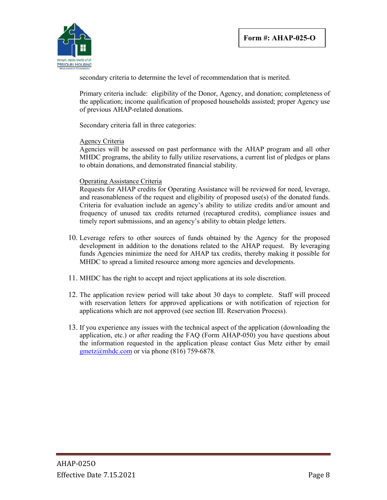

secondary criteria to determine the level of recommendation that is merited.

Primary criteria include: eligibility of the Donor, Agency, and donation; completeness of the application; income qualification of proposed households assisted; proper Agency use of previous AHAP-related donations.

Secondary criteria fall in three categories:

#### Agency Criteria

Agencies will be assessed on past performance with the AHAP program and all other MHDC programs, the ability to fully utilize reservations, a current list of pledges or plans to obtain donations, and demonstrated financial stability.

#### Operating Assistance Criteria

Requests for AHAP credits for Operating Assistance will be reviewed for need, leverage, and reasonableness of the request and eligibility of proposed use(s) of the donated funds. Criteria for evaluation include an agency's ability to utilize credits and/or amount and frequency of unused tax credits returned (recaptured credits), compliance issues and timely report submissions, and an agency's ability to obtain pledge letters.

- 10. Leverage refers to other sources of funds obtained by the Agency for the proposed development in addition to the donations related to the AHAP request. By leveraging funds Agencies minimize the need for AHAP tax credits, thereby making it possible for MHDC to spread a limited resource among more agencies and developments.
- 11. MHDC has the right to accept and reject applications at its sole discretion.
- 12. The application review period will take about 30 days to complete. Staff will proceed with reservation letters for approved applications or with notification of rejection for applications which are not approved (see section III. Reservation Process).
- 13. If you experience any issues with the technical aspect of the application (downloading the application, etc.) or after reading the FAQ (Form AHAP-050) you have questions about the information requested in the application please contact Gus Metz either by email gmetz@mhdc.com or via phone (816) 759-6878.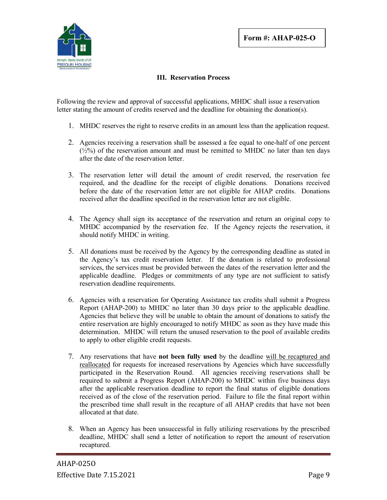

### **III. Reservation Process**

Following the review and approval of successful applications, MHDC shall issue a reservation letter stating the amount of credits reserved and the deadline for obtaining the donation(s).

- 1. MHDC reserves the right to reserve credits in an amount less than the application request.
- 2. Agencies receiving a reservation shall be assessed a fee equal to one-half of one percent  $(\frac{1}{2}\%)$  of the reservation amount and must be remitted to MHDC no later than ten days after the date of the reservation letter.
- 3. The reservation letter will detail the amount of credit reserved, the reservation fee required, and the deadline for the receipt of eligible donations. Donations received before the date of the reservation letter are not eligible for AHAP credits. Donations received after the deadline specified in the reservation letter are not eligible.
- 4. The Agency shall sign its acceptance of the reservation and return an original copy to MHDC accompanied by the reservation fee. If the Agency rejects the reservation, it should notify MHDC in writing.
- 5. All donations must be received by the Agency by the corresponding deadline as stated in the Agency's tax credit reservation letter. If the donation is related to professional services, the services must be provided between the dates of the reservation letter and the applicable deadline. Pledges or commitments of any type are not sufficient to satisfy reservation deadline requirements.
- 6. Agencies with a reservation for Operating Assistance tax credits shall submit a Progress Report (AHAP-200) to MHDC no later than 30 days prior to the applicable deadline. Agencies that believe they will be unable to obtain the amount of donations to satisfy the entire reservation are highly encouraged to notify MHDC as soon as they have made this determination. MHDC will return the unused reservation to the pool of available credits to apply to other eligible credit requests.
- 7. Any reservations that have **not been fully used** by the deadline will be recaptured and reallocated for requests for increased reservations by Agencies which have successfully participated in the Reservation Round. All agencies receiving reservations shall be required to submit a Progress Report (AHAP-200) to MHDC within five business days after the applicable reservation deadline to report the final status of eligible donations received as of the close of the reservation period. Failure to file the final report within the prescribed time shall result in the recapture of all AHAP credits that have not been allocated at that date.
- 8. When an Agency has been unsuccessful in fully utilizing reservations by the prescribed deadline, MHDC shall send a letter of notification to report the amount of reservation recaptured.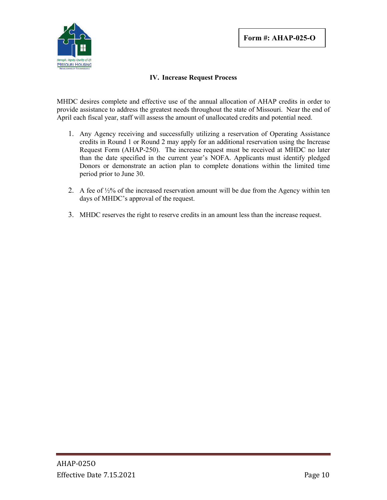

### **IV. Increase Request Process**

MHDC desires complete and effective use of the annual allocation of AHAP credits in order to provide assistance to address the greatest needs throughout the state of Missouri. Near the end of April each fiscal year, staff will assess the amount of unallocated credits and potential need.

- 1. Any Agency receiving and successfully utilizing a reservation of Operating Assistance credits in Round 1 or Round 2 may apply for an additional reservation using the Increase Request Form (AHAP-250). The increase request must be received at MHDC no later than the date specified in the current year's NOFA. Applicants must identify pledged Donors or demonstrate an action plan to complete donations within the limited time period prior to June 30.
- 2. A fee of ½% of the increased reservation amount will be due from the Agency within ten days of MHDC's approval of the request.
- 3. MHDC reserves the right to reserve credits in an amount less than the increase request.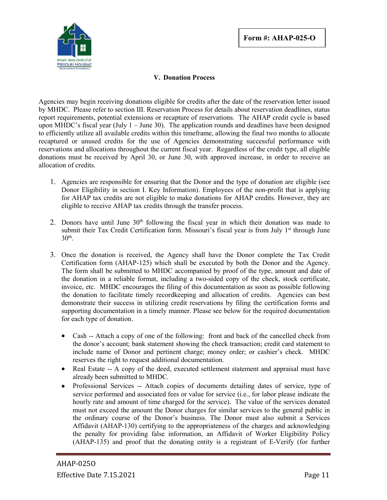

### **V. Donation Process**

Agencies may begin receiving donations eligible for credits after the date of the reservation letter issued by MHDC. Please refer to section III. Reservation Process for details about reservation deadlines, status report requirements, potential extensions or recapture of reservations. The AHAP credit cycle is based upon MHDC's fiscal year (July  $1 -$  June 30). The application rounds and deadlines have been designed to efficiently utilize all available credits within this timeframe, allowing the final two months to allocate recaptured or unused credits for the use of Agencies demonstrating successful performance with reservations and allocations throughout the current fiscal year. Regardless of the credit type, all eligible donations must be received by April 30, or June 30, with approved increase, in order to receive an allocation of credits.

- 1. Agencies are responsible for ensuring that the Donor and the type of donation are eligible (see Donor Eligibility in section I. Key Information). Employees of the non-profit that is applying for AHAP tax credits are not eligible to make donations for AHAP credits. However, they are eligible to receive AHAP tax credits through the transfer process.
- 2. Donors have until June  $30<sup>th</sup>$  following the fiscal year in which their donation was made to submit their Tax Credit Certification form. Missouri's fiscal year is from July  $1<sup>st</sup>$  through June  $30<sup>th</sup>$ .
- 3. Once the donation is received, the Agency shall have the Donor complete the Tax Credit Certification form (AHAP-125) which shall be executed by both the Donor and the Agency. The form shall be submitted to MHDC accompanied by proof of the type, amount and date of the donation in a reliable format, including a two-sided copy of the check, stock certificate, invoice, etc. MHDC encourages the filing of this documentation as soon as possible following the donation to facilitate timely recordkeeping and allocation of credits. Agencies can best demonstrate their success in utilizing credit reservations by filing the certification forms and supporting documentation in a timely manner. Please see below for the required documentation for each type of donation.
	- Cash -- Attach a copy of one of the following: front and back of the cancelled check from the donor's account; bank statement showing the check transaction; credit card statement to include name of Donor and pertinent charge; money order; or cashier's check. MHDC reserves the right to request additional documentation.
	- Real Estate -- A copy of the deed, executed settlement statement and appraisal must have already been submitted to MHDC.
	- Professional Services -- Attach copies of documents detailing dates of service, type of service performed and associated fees or value for service (i.e., for labor please indicate the hourly rate and amount of time charged for the service). The value of the services donated must not exceed the amount the Donor charges for similar services to the general public in the ordinary course of the Donor's business. The Donor must also submit a Services Affidavit (AHAP-130) certifying to the appropriateness of the charges and acknowledging the penalty for providing false information, an Affidavit of Worker Eligibility Policy (AHAP-135) and proof that the donating entity is a registrant of E-Verify (for further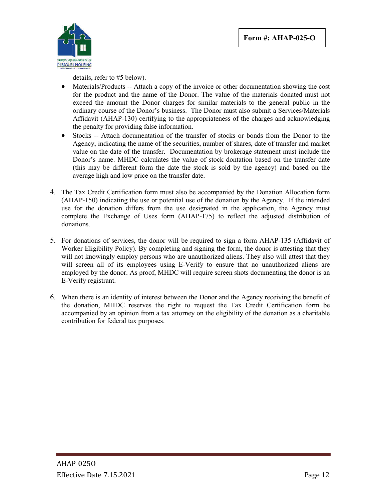

details, refer to #5 below).

- Materials/Products -- Attach a copy of the invoice or other documentation showing the cost for the product and the name of the Donor. The value of the materials donated must not exceed the amount the Donor charges for similar materials to the general public in the ordinary course of the Donor's business. The Donor must also submit a Services/Materials Affidavit (AHAP-130) certifying to the appropriateness of the charges and acknowledging the penalty for providing false information.
- Stocks -- Attach documentation of the transfer of stocks or bonds from the Donor to the Agency, indicating the name of the securities, number of shares, date of transfer and market value on the date of the transfer. Documentation by brokerage statement must include the Donor's name. MHDC calculates the value of stock dontation based on the transfer date (this may be different form the date the stock is sold by the agency) and based on the average high and low price on the transfer date.
- 4. The Tax Credit Certification form must also be accompanied by the Donation Allocation form (AHAP-150) indicating the use or potential use of the donation by the Agency. If the intended use for the donation differs from the use designated in the application, the Agency must complete the Exchange of Uses form (AHAP-175) to reflect the adjusted distribution of donations.
- 5. For donations of services, the donor will be required to sign a form AHAP-135 (Affidavit of Worker Eligibility Policy). By completing and signing the form, the donor is attesting that they will not knowingly employ persons who are unauthorized aliens. They also will attest that they will screen all of its employees using E-Verify to ensure that no unauthorized aliens are employed by the donor. As proof, MHDC will require screen shots documenting the donor is an E-Verify registrant.
- 6. When there is an identity of interest between the Donor and the Agency receiving the benefit of the donation, MHDC reserves the right to request the Tax Credit Certification form be accompanied by an opinion from a tax attorney on the eligibility of the donation as a charitable contribution for federal tax purposes.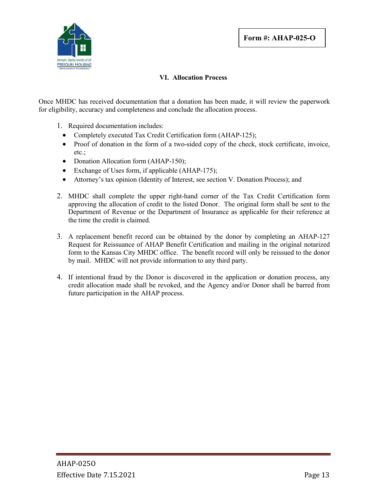

### **VI. Allocation Process**

Once MHDC has received documentation that a donation has been made, it will review the paperwork for eligibility, accuracy and completeness and conclude the allocation process.

- 1. Required documentation includes:
	- Completely executed Tax Credit Certification form (AHAP-125);
	- Proof of donation in the form of a two-sided copy of the check, stock certificate, invoice, etc.;
	- Donation Allocation form (AHAP-150);
	- Exchange of Uses form, if applicable (AHAP-175);
	- Attorney's tax opinion (Identity of Interest, see section V. Donation Process); and
- 2. MHDC shall complete the upper right-hand corner of the Tax Credit Certification form approving the allocation of credit to the listed Donor. The original form shall be sent to the Department of Revenue or the Department of Insurance as applicable for their reference at the time the credit is claimed.
- 3. A replacement benefit record can be obtained by the donor by completing an AHAP-127 Request for Reissuance of AHAP Benefit Certification and mailing in the original notarized form to the Kansas City MHDC office. The benefit record will only be reissued to the donor by mail. MHDC will not provide information to any third party.
- 4. If intentional fraud by the Donor is discovered in the application or donation process, any credit allocation made shall be revoked, and the Agency and/or Donor shall be barred from future participation in the AHAP process.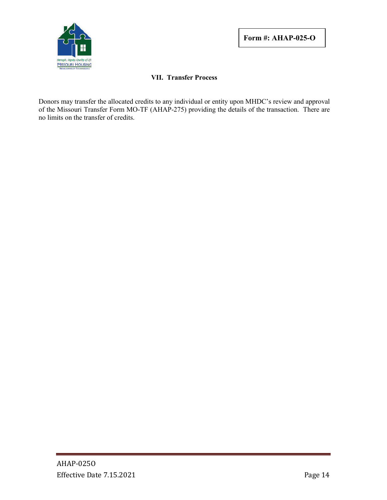

### **VII. Transfer Process**

Donors may transfer the allocated credits to any individual or entity upon MHDC's review and approval of the Missouri Transfer Form MO-TF (AHAP-275) providing the details of the transaction. There are no limits on the transfer of credits.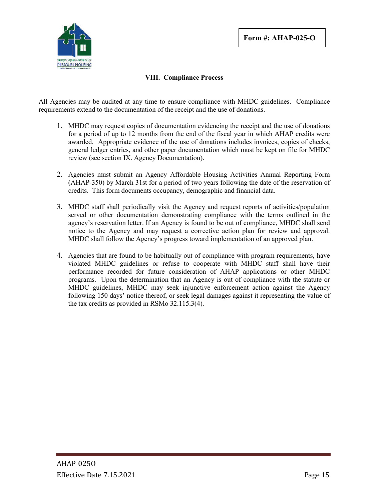

### **VIII. Compliance Process**

All Agencies may be audited at any time to ensure compliance with MHDC guidelines. Compliance requirements extend to the documentation of the receipt and the use of donations.

- 1. MHDC may request copies of documentation evidencing the receipt and the use of donations for a period of up to 12 months from the end of the fiscal year in which AHAP credits were awarded. Appropriate evidence of the use of donations includes invoices, copies of checks, general ledger entries, and other paper documentation which must be kept on file for MHDC review (see section IX. Agency Documentation).
- 2. Agencies must submit an Agency Affordable Housing Activities Annual Reporting Form (AHAP-350) by March 31st for a period of two years following the date of the reservation of credits. This form documents occupancy, demographic and financial data.
- 3. MHDC staff shall periodically visit the Agency and request reports of activities/population served or other documentation demonstrating compliance with the terms outlined in the agency's reservation letter. If an Agency is found to be out of compliance, MHDC shall send notice to the Agency and may request a corrective action plan for review and approval. MHDC shall follow the Agency's progress toward implementation of an approved plan.
- 4. Agencies that are found to be habitually out of compliance with program requirements, have violated MHDC guidelines or refuse to cooperate with MHDC staff shall have their performance recorded for future consideration of AHAP applications or other MHDC programs. Upon the determination that an Agency is out of compliance with the statute or MHDC guidelines, MHDC may seek injunctive enforcement action against the Agency following 150 days' notice thereof, or seek legal damages against it representing the value of the tax credits as provided in RSMo 32.115.3(4).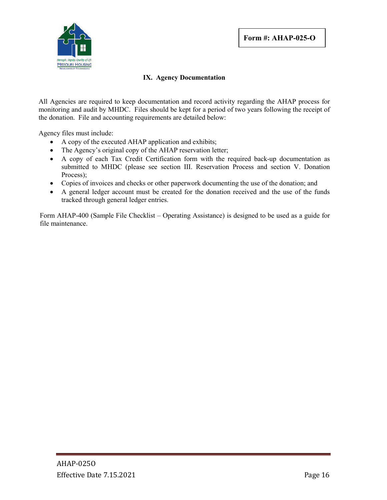

### **IX. Agency Documentation**

All Agencies are required to keep documentation and record activity regarding the AHAP process for monitoring and audit by MHDC. Files should be kept for a period of two years following the receipt of the donation. File and accounting requirements are detailed below:

Agency files must include:

- A copy of the executed AHAP application and exhibits;
- The Agency's original copy of the AHAP reservation letter;
- A copy of each Tax Credit Certification form with the required back-up documentation as submitted to MHDC (please see section III. Reservation Process and section V. Donation Process);
- Copies of invoices and checks or other paperwork documenting the use of the donation; and
- A general ledger account must be created for the donation received and the use of the funds tracked through general ledger entries.

Form AHAP-400 (Sample File Checklist – Operating Assistance) is designed to be used as a guide for file maintenance.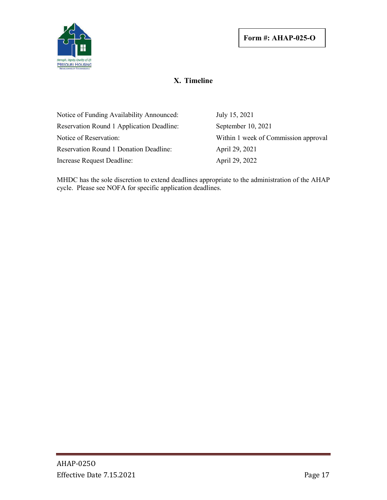

## **X. Timeline**

| Notice of Funding Availability Announced:     | July 15, 2021                        |
|-----------------------------------------------|--------------------------------------|
| Reservation Round 1 Application Deadline:     | September 10, 2021                   |
| Notice of Reservation:                        | Within 1 week of Commission approval |
| <b>Reservation Round 1 Donation Deadline:</b> | April 29, 2021                       |
| Increase Request Deadline:                    | April 29, 2022                       |

MHDC has the sole discretion to extend deadlines appropriate to the administration of the AHAP cycle. Please see NOFA for specific application deadlines.